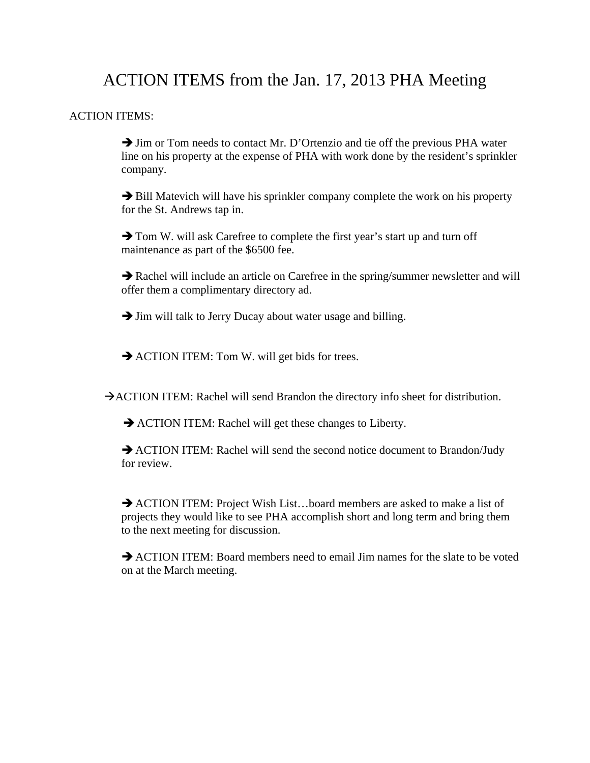# ACTION ITEMS from the Jan. 17, 2013 PHA Meeting

## ACTION ITEMS:

 $\rightarrow$  Jim or Tom needs to contact Mr. D'Ortenzio and tie off the previous PHA water line on his property at the expense of PHA with work done by the resident's sprinkler company.

 $\rightarrow$  Bill Matevich will have his sprinkler company complete the work on his property for the St. Andrews tap in.

 $\rightarrow$  Tom W. will ask Carefree to complete the first year's start up and turn off maintenance as part of the \$6500 fee.

 $\rightarrow$  Rachel will include an article on Carefree in the spring/summer newsletter and will offer them a complimentary directory ad.

 $\rightarrow$  Jim will talk to Jerry Ducay about water usage and billing.

 $\rightarrow$  ACTION ITEM: Tom W. will get bids for trees.

 $\rightarrow$  ACTION ITEM: Rachel will send Brandon the directory info sheet for distribution.

 $\rightarrow$  ACTION ITEM: Rachel will get these changes to Liberty.

 $\rightarrow$  ACTION ITEM: Rachel will send the second notice document to Brandon/Judy for review.

→ ACTION ITEM: Project Wish List...board members are asked to make a list of projects they would like to see PHA accomplish short and long term and bring them to the next meeting for discussion.

 $\rightarrow$  ACTION ITEM: Board members need to email Jim names for the slate to be voted on at the March meeting.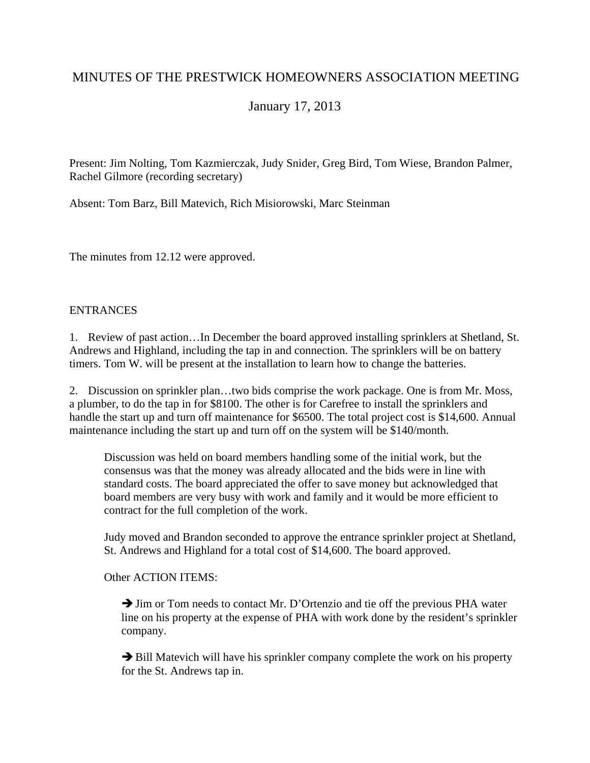## MINUTES OF THE PRESTWICK HOMEOWNERS ASSOCIATION MEETING

January 17, 2013

Present: Jim Nolting, Tom Kazmierczak, Judy Snider, Greg Bird, Tom Wiese, Brandon Palmer, Rachel Gilmore (recording secretary)

Absent: Tom Barz, Bill Matevich, Rich Misiorowski, Marc Steinman

The minutes from 12.12 were approved.

## **ENTRANCES**

1. Review of past action…In December the board approved installing sprinklers at Shetland, St. Andrews and Highland, including the tap in and connection. The sprinklers will be on battery timers. Tom W. will be present at the installation to learn how to change the batteries.

2. Discussion on sprinkler plan…two bids comprise the work package. One is from Mr. Moss, a plumber, to do the tap in for \$8100. The other is for Carefree to install the sprinklers and handle the start up and turn off maintenance for \$6500. The total project cost is \$14,600. Annual maintenance including the start up and turn off on the system will be \$140/month.

Discussion was held on board members handling some of the initial work, but the consensus was that the money was already allocated and the bids were in line with standard costs. The board appreciated the offer to save money but acknowledged that board members are very busy with work and family and it would be more efficient to contract for the full completion of the work.

Judy moved and Brandon seconded to approve the entrance sprinkler project at Shetland, St. Andrews and Highland for a total cost of \$14,600. The board approved.

Other ACTION ITEMS:

 $\rightarrow$  Jim or Tom needs to contact Mr. D'Ortenzio and tie off the previous PHA water line on his property at the expense of PHA with work done by the resident's sprinkler company.

 $\rightarrow$  Bill Matevich will have his sprinkler company complete the work on his property for the St. Andrews tap in.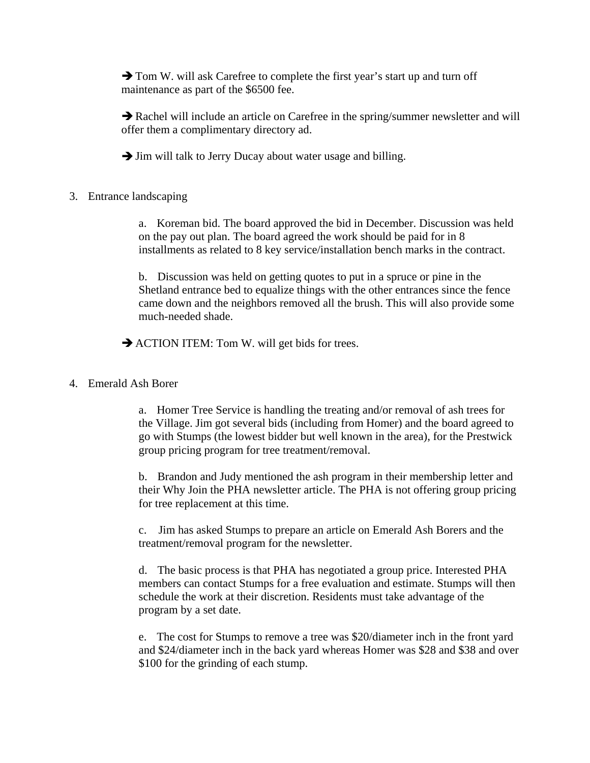$\rightarrow$  Tom W. will ask Carefree to complete the first year's start up and turn off maintenance as part of the \$6500 fee.

 $\rightarrow$  Rachel will include an article on Carefree in the spring/summer newsletter and will offer them a complimentary directory ad.

 $\rightarrow$  Jim will talk to Jerry Ducay about water usage and billing.

## 3. Entrance landscaping

a. Koreman bid. The board approved the bid in December. Discussion was held on the pay out plan. The board agreed the work should be paid for in 8 installments as related to 8 key service/installation bench marks in the contract.

b. Discussion was held on getting quotes to put in a spruce or pine in the Shetland entrance bed to equalize things with the other entrances since the fence came down and the neighbors removed all the brush. This will also provide some much-needed shade.

 $\rightarrow$  ACTION ITEM: Tom W. will get bids for trees.

## 4. Emerald Ash Borer

a. Homer Tree Service is handling the treating and/or removal of ash trees for the Village. Jim got several bids (including from Homer) and the board agreed to go with Stumps (the lowest bidder but well known in the area), for the Prestwick group pricing program for tree treatment/removal.

b. Brandon and Judy mentioned the ash program in their membership letter and their Why Join the PHA newsletter article. The PHA is not offering group pricing for tree replacement at this time.

c. Jim has asked Stumps to prepare an article on Emerald Ash Borers and the treatment/removal program for the newsletter.

d. The basic process is that PHA has negotiated a group price. Interested PHA members can contact Stumps for a free evaluation and estimate. Stumps will then schedule the work at their discretion. Residents must take advantage of the program by a set date.

e. The cost for Stumps to remove a tree was \$20/diameter inch in the front yard and \$24/diameter inch in the back yard whereas Homer was \$28 and \$38 and over \$100 for the grinding of each stump.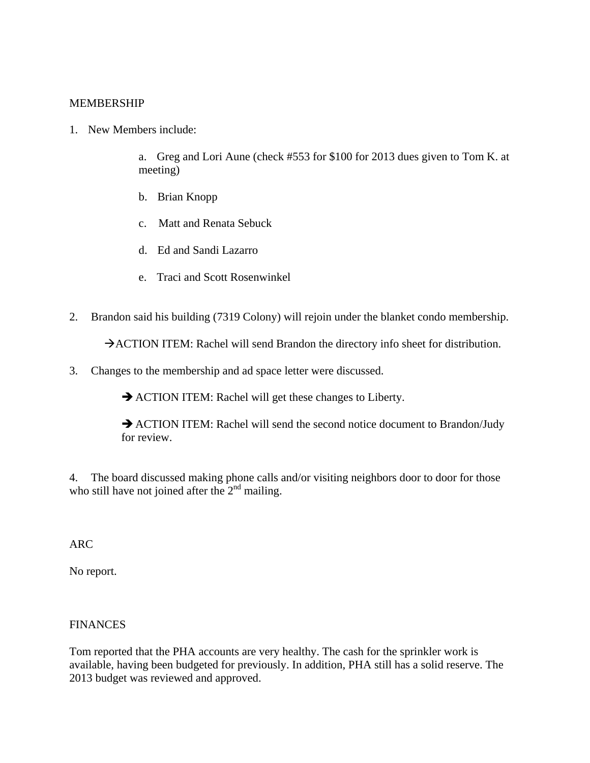## MEMBERSHIP

1. New Members include:

a. Greg and Lori Aune (check #553 for \$100 for 2013 dues given to Tom K. at meeting)

- b. Brian Knopp
- c. Matt and Renata Sebuck
- d. Ed and Sandi Lazarro
- e. Traci and Scott Rosenwinkel
- 2. Brandon said his building (7319 Colony) will rejoin under the blanket condo membership.

 $\rightarrow$  ACTION ITEM: Rachel will send Brandon the directory info sheet for distribution.

3. Changes to the membership and ad space letter were discussed.

 $\rightarrow$  ACTION ITEM: Rachel will get these changes to Liberty.

 $\rightarrow$  ACTION ITEM: Rachel will send the second notice document to Brandon/Judy for review.

4. The board discussed making phone calls and/or visiting neighbors door to door for those who still have not joined after the  $2<sup>nd</sup>$  mailing.

ARC

No report.

## FINANCES

Tom reported that the PHA accounts are very healthy. The cash for the sprinkler work is available, having been budgeted for previously. In addition, PHA still has a solid reserve. The 2013 budget was reviewed and approved.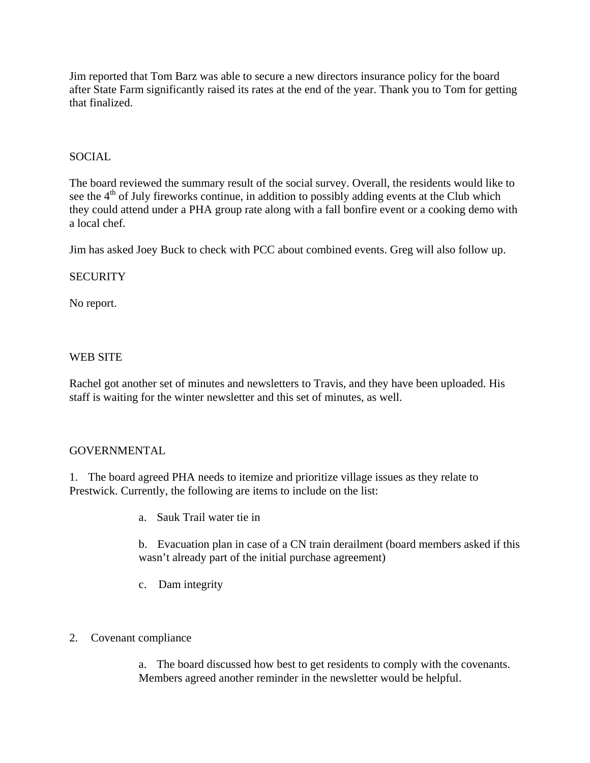Jim reported that Tom Barz was able to secure a new directors insurance policy for the board after State Farm significantly raised its rates at the end of the year. Thank you to Tom for getting that finalized.

## SOCIAL

The board reviewed the summary result of the social survey. Overall, the residents would like to see the  $4<sup>th</sup>$  of July fireworks continue, in addition to possibly adding events at the Club which they could attend under a PHA group rate along with a fall bonfire event or a cooking demo with a local chef.

Jim has asked Joey Buck to check with PCC about combined events. Greg will also follow up.

#### **SECURITY**

No report.

#### WEB SITE

Rachel got another set of minutes and newsletters to Travis, and they have been uploaded. His staff is waiting for the winter newsletter and this set of minutes, as well.

#### GOVERNMENTAL

1. The board agreed PHA needs to itemize and prioritize village issues as they relate to Prestwick. Currently, the following are items to include on the list:

a. Sauk Trail water tie in

b. Evacuation plan in case of a CN train derailment (board members asked if this wasn't already part of the initial purchase agreement)

c. Dam integrity

## 2. Covenant compliance

a. The board discussed how best to get residents to comply with the covenants. Members agreed another reminder in the newsletter would be helpful.